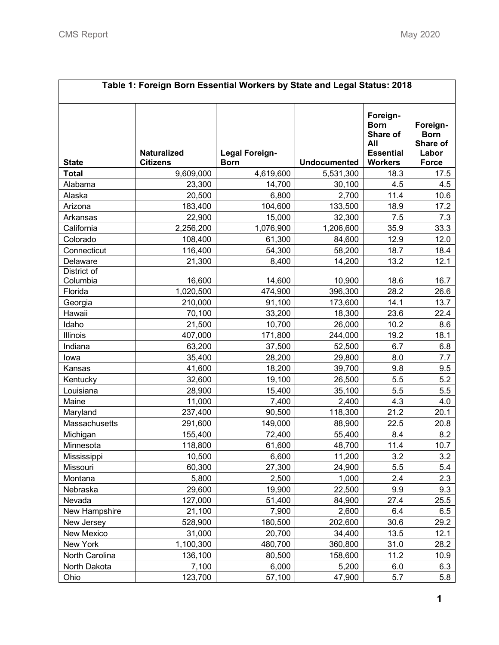| Table 1: Foreign Born Essential Workers by State and Legal Status: 2018 |                                       |                                      |                     |                                                                                  |                                                              |  |  |  |
|-------------------------------------------------------------------------|---------------------------------------|--------------------------------------|---------------------|----------------------------------------------------------------------------------|--------------------------------------------------------------|--|--|--|
| <b>State</b>                                                            | <b>Naturalized</b><br><b>Citizens</b> | <b>Legal Foreign-</b><br><b>Born</b> | <b>Undocumented</b> | Foreign-<br><b>Born</b><br>Share of<br>All<br><b>Essential</b><br><b>Workers</b> | Foreign-<br><b>Born</b><br>Share of<br>Labor<br><b>Force</b> |  |  |  |
| <b>Total</b>                                                            | 9,609,000                             | 4,619,600                            | 5,531,300           | 18.3                                                                             | 17.5                                                         |  |  |  |
| Alabama                                                                 | 23,300                                | 14,700                               | 30,100              | 4.5                                                                              | 4.5                                                          |  |  |  |
| Alaska                                                                  | 20,500                                | 6,800                                | 2,700               | 11.4                                                                             | 10.6                                                         |  |  |  |
| Arizona                                                                 | 183,400                               | 104,600                              | 133,500             | 18.9                                                                             | 17.2                                                         |  |  |  |
| Arkansas                                                                | 22,900                                | 15,000                               | 32,300              | 7.5                                                                              | 7.3                                                          |  |  |  |
| California                                                              | 2,256,200                             | 1,076,900                            | 1,206,600           | 35.9                                                                             | 33.3                                                         |  |  |  |
| Colorado                                                                | 108,400                               | 61,300                               | 84,600              | 12.9                                                                             | 12.0                                                         |  |  |  |
| Connecticut                                                             | 116,400                               | 54,300                               | 58,200              | 18.7                                                                             | 18.4                                                         |  |  |  |
| Delaware                                                                | 21,300                                | 8,400                                | 14,200              | 13.2                                                                             | 12.1                                                         |  |  |  |
| District of<br>Columbia                                                 | 16,600                                | 14,600                               | 10,900              | 18.6                                                                             | 16.7                                                         |  |  |  |
| Florida                                                                 | 1,020,500                             | 474,900                              | 396,300             | 28.2                                                                             | 26.6                                                         |  |  |  |
| Georgia                                                                 | 210,000                               | 91,100                               | 173,600             | 14.1                                                                             | 13.7                                                         |  |  |  |
| Hawaii                                                                  | 70,100                                | 33,200                               | 18,300              | 23.6                                                                             | 22.4                                                         |  |  |  |
| Idaho                                                                   | 21,500                                | 10,700                               | 26,000              | 10.2                                                                             | 8.6                                                          |  |  |  |
| Illinois                                                                | 407,000                               | 171,800                              | 244,000             | 19.2                                                                             | 18.1                                                         |  |  |  |
| Indiana                                                                 | 63,200                                | 37,500                               | 52,500              | 6.7                                                                              | 6.8                                                          |  |  |  |
| lowa                                                                    | 35,400                                | 28,200                               | 29,800              | 8.0                                                                              | 7.7                                                          |  |  |  |
| Kansas                                                                  | 41,600                                | 18,200                               | 39,700              | 9.8                                                                              | 9.5                                                          |  |  |  |
| Kentucky                                                                | 32,600                                | 19,100                               | 26,500              | 5.5                                                                              | 5.2                                                          |  |  |  |
| Louisiana                                                               | 28,900                                | 15,400                               | 35,100              | 5.5                                                                              | 5.5                                                          |  |  |  |
| Maine                                                                   | 11,000                                | 7,400                                | 2,400               | 4.3                                                                              | 4.0                                                          |  |  |  |
| Maryland                                                                | 237,400                               | 90,500                               | 118,300             | 21.2                                                                             | 20.1                                                         |  |  |  |
| Massachusetts                                                           | 291,600                               | 149,000                              | 88,900              | 22.5                                                                             | 20.8                                                         |  |  |  |
| Michigan                                                                | 155,400                               | 72,400                               | 55,400              | 8.4                                                                              | 8.2                                                          |  |  |  |
| Minnesota                                                               | 118,800                               | 61,600                               | 48,700              | 11.4                                                                             | 10.7                                                         |  |  |  |
| Mississippi                                                             | 10,500                                | 6,600                                | 11,200              | 3.2                                                                              | 3.2                                                          |  |  |  |
| Missouri                                                                | 60,300                                | 27,300                               | 24,900              | 5.5                                                                              | 5.4                                                          |  |  |  |
| Montana                                                                 | 5,800                                 | 2,500                                | 1,000               | 2.4                                                                              | 2.3                                                          |  |  |  |
| Nebraska                                                                | 29,600                                | 19,900                               | 22,500              | 9.9                                                                              | 9.3                                                          |  |  |  |
| Nevada                                                                  | 127,000                               | 51,400                               | 84,900              | 27.4                                                                             | 25.5                                                         |  |  |  |
| New Hampshire                                                           | 21,100                                | 7,900                                | 2,600               | 6.4                                                                              | 6.5                                                          |  |  |  |
| New Jersey                                                              | 528,900                               | 180,500                              | 202,600             | 30.6                                                                             | 29.2                                                         |  |  |  |
| New Mexico                                                              | 31,000                                | 20,700                               | 34,400              | 13.5                                                                             | 12.1                                                         |  |  |  |
| New York                                                                | 1,100,300                             | 480,700                              | 360,800             | 31.0                                                                             | 28.2                                                         |  |  |  |
| North Carolina                                                          | 136,100                               | 80,500                               | 158,600             | 11.2                                                                             | 10.9                                                         |  |  |  |
| North Dakota                                                            | 7,100                                 | 6,000                                | 5,200               | 6.0                                                                              | 6.3                                                          |  |  |  |
| Ohio                                                                    | 123,700                               | 57,100                               | 47,900              | 5.7                                                                              | 5.8                                                          |  |  |  |